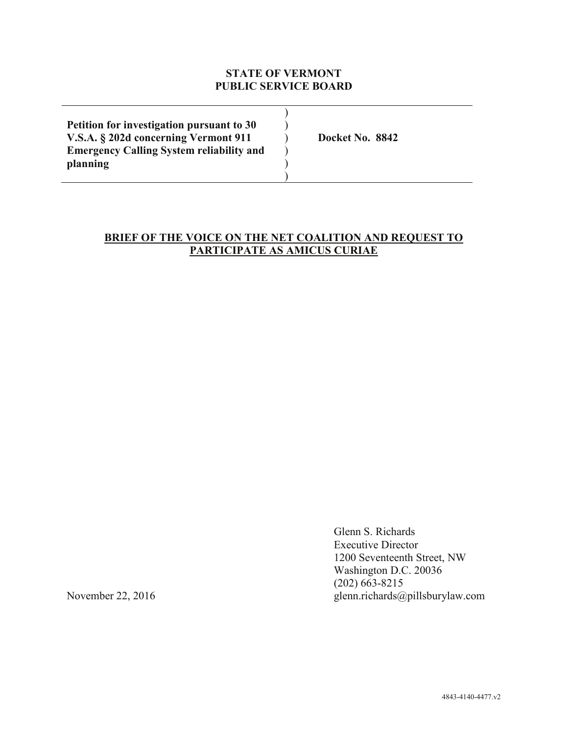### **STATE OF VERMONT PUBLIC SERVICE BOARD**

| Petition for investigation pursuant to 30       |                 |
|-------------------------------------------------|-----------------|
| V.S.A. § 202d concerning Vermont 911            | Docket No. 8842 |
| <b>Emergency Calling System reliability and</b> |                 |
| planning                                        |                 |
|                                                 |                 |

# **BRIEF OF THE VOICE ON THE NET COALITION AND REQUEST TO PARTICIPATE AS AMICUS CURIAE**

Glenn S. Richards Executive Director 1200 Seventeenth Street, NW Washington D.C. 20036 (202) 663-8215 November 22, 2016 glenn.richards@pillsburylaw.com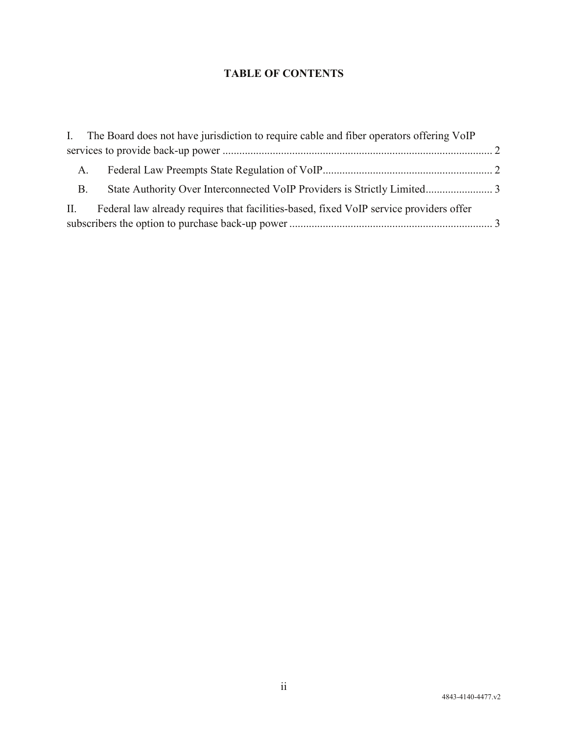# **TABLE OF CONTENTS**

|            | I. The Board does not have jurisdiction to require cable and fiber operators offering VoIP |  |
|------------|--------------------------------------------------------------------------------------------|--|
|            |                                                                                            |  |
| A.         |                                                                                            |  |
| <b>B</b> . |                                                                                            |  |
|            | II. Federal law already requires that facilities-based, fixed VoIP service providers offer |  |
|            |                                                                                            |  |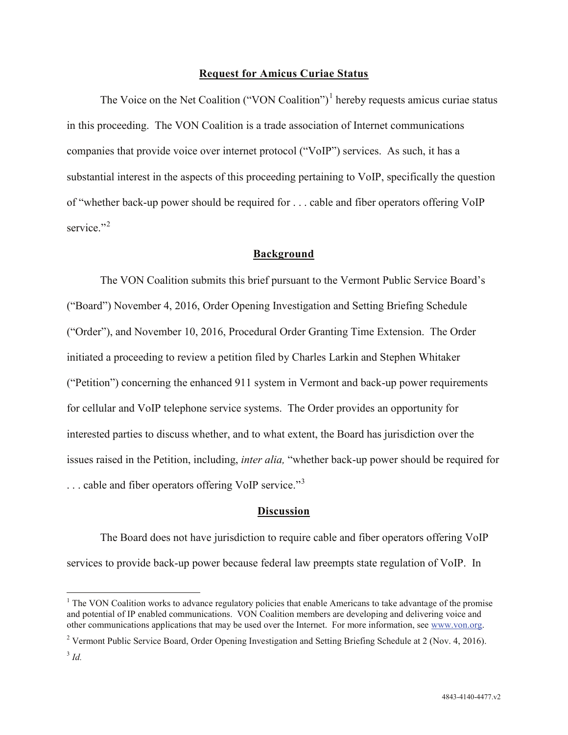#### **Request for Amicus Curiae Status**

The Voice on the Net Coalition ("VON Coalition")<sup>1</sup> hereby requests amicus curiae status in this proceeding. The VON Coalition is a trade association of Internet communications companies that provide voice over internet protocol ("VoIP") services. As such, it has a substantial interest in the aspects of this proceeding pertaining to VoIP, specifically the question of "whether back-up power should be required for . . . cable and fiber operators offering VoIP service<sup>"2</sup>

#### **Background**

The VON Coalition submits this brief pursuant to the Vermont Public Service Board's ("Board") November 4, 2016, Order Opening Investigation and Setting Briefing Schedule ("Order"), and November 10, 2016, Procedural Order Granting Time Extension. The Order initiated a proceeding to review a petition filed by Charles Larkin and Stephen Whitaker ("Petition") concerning the enhanced 911 system in Vermont and back-up power requirements for cellular and VoIP telephone service systems. The Order provides an opportunity for interested parties to discuss whether, and to what extent, the Board has jurisdiction over the issues raised in the Petition, including, *inter alia,* "whether back-up power should be required for ... cable and fiber operators offering VoIP service."<sup>3</sup>

#### **Discussion**

The Board does not have jurisdiction to require cable and fiber operators offering VoIP services to provide back-up power because federal law preempts state regulation of VoIP. In

<sup>&</sup>lt;sup>1</sup> The VON Coalition works to advance regulatory policies that enable Americans to take advantage of the promise and potential of IP enabled communications. VON Coalition members are developing and delivering voice and other communications applications that may be used over the Internet. For more information, see www.von.org.

<sup>2</sup> Vermont Public Service Board, Order Opening Investigation and Setting Briefing Schedule at 2 (Nov. 4, 2016).

<sup>3</sup> *Id.*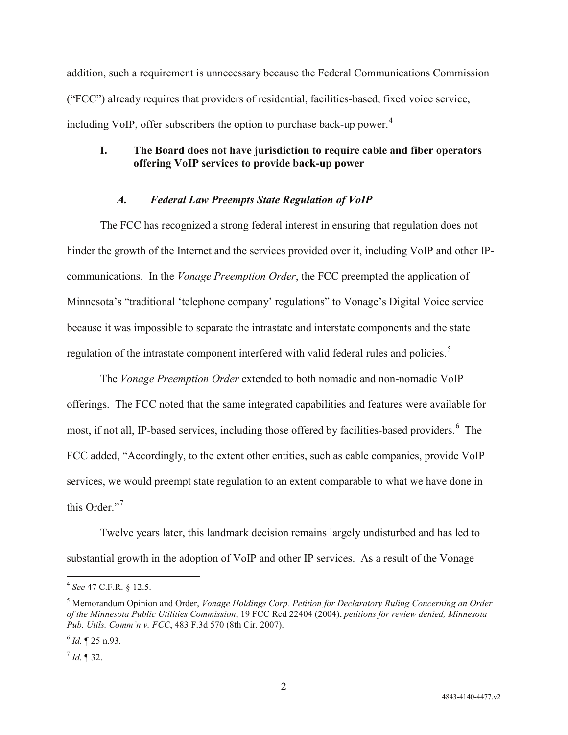addition, such a requirement is unnecessary because the Federal Communications Commission ("FCC") already requires that providers of residential, facilities-based, fixed voice service, including VoIP, offer subscribers the option to purchase back-up power. $4$ 

## **I. The Board does not have jurisdiction to require cable and fiber operators offering VoIP services to provide back-up power**

### *A. Federal Law Preempts State Regulation of VoIP*

The FCC has recognized a strong federal interest in ensuring that regulation does not hinder the growth of the Internet and the services provided over it, including VoIP and other IPcommunications. In the *Vonage Preemption Order*, the FCC preempted the application of Minnesota's "traditional 'telephone company' regulations" to Vonage's Digital Voice service because it was impossible to separate the intrastate and interstate components and the state regulation of the intrastate component interfered with valid federal rules and policies.<sup>5</sup>

The *Vonage Preemption Order* extended to both nomadic and non-nomadic VoIP offerings. The FCC noted that the same integrated capabilities and features were available for most, if not all, IP-based services, including those offered by facilities-based providers.<sup>6</sup> The FCC added, "Accordingly, to the extent other entities, such as cable companies, provide VoIP services, we would preempt state regulation to an extent comparable to what we have done in this Order."<sup>7</sup>

Twelve years later, this landmark decision remains largely undisturbed and has led to substantial growth in the adoption of VoIP and other IP services. As a result of the Vonage

 <sup>4</sup> *See* 47 C.F.R. § 12.5.

<sup>5</sup> Memorandum Opinion and Order, *Vonage Holdings Corp. Petition for Declaratory Ruling Concerning an Order of the Minnesota Public Utilities Commission*, 19 FCC Rcd 22404 (2004), *petitions for review denied, Minnesota Pub. Utils. Comm'n v. FCC*, 483 F.3d 570 (8th Cir. 2007).

 $^{6}$  *Id.* ¶ 25 n.93.

 $^{7}$  *Id.* ¶ 32.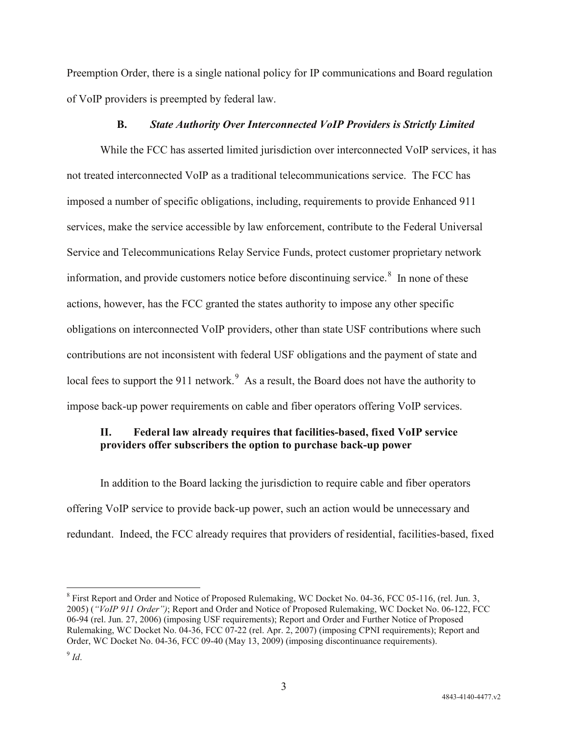Preemption Order, there is a single national policy for IP communications and Board regulation of VoIP providers is preempted by federal law.

#### **B.** *State Authority Over Interconnected VoIP Providers is Strictly Limited*

While the FCC has asserted limited jurisdiction over interconnected VoIP services, it has not treated interconnected VoIP as a traditional telecommunications service. The FCC has imposed a number of specific obligations, including, requirements to provide Enhanced 911 services, make the service accessible by law enforcement, contribute to the Federal Universal Service and Telecommunications Relay Service Funds, protect customer proprietary network information, and provide customers notice before discontinuing service. $8$  In none of these actions, however, has the FCC granted the states authority to impose any other specific obligations on interconnected VoIP providers, other than state USF contributions where such contributions are not inconsistent with federal USF obligations and the payment of state and local fees to support the 911 network.<sup>9</sup> As a result, the Board does not have the authority to impose back-up power requirements on cable and fiber operators offering VoIP services.

## **II. Federal law already requires that facilities-based, fixed VoIP service providers offer subscribers the option to purchase back-up power**

In addition to the Board lacking the jurisdiction to require cable and fiber operators offering VoIP service to provide back-up power, such an action would be unnecessary and redundant. Indeed, the FCC already requires that providers of residential, facilities-based, fixed

 <sup>8</sup> First Report and Order and Notice of Proposed Rulemaking, WC Docket No. 04-36, FCC 05-116, (rel. Jun. 3, 2005) (*"VoIP 911 Order")*; Report and Order and Notice of Proposed Rulemaking, WC Docket No. 06-122, FCC 06-94 (rel. Jun. 27, 2006) (imposing USF requirements); Report and Order and Further Notice of Proposed Rulemaking, WC Docket No. 04-36, FCC 07-22 (rel. Apr. 2, 2007) (imposing CPNI requirements); Report and Order, WC Docket No. 04-36, FCC 09-40 (May 13, 2009) (imposing discontinuance requirements).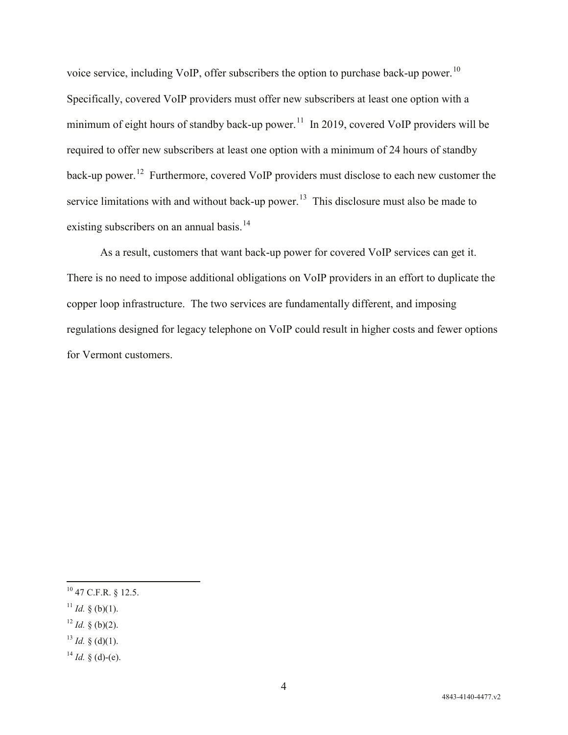voice service, including VoIP, offer subscribers the option to purchase back-up power.10 Specifically, covered VoIP providers must offer new subscribers at least one option with a minimum of eight hours of standby back-up power.<sup>11</sup> In 2019, covered VoIP providers will be required to offer new subscribers at least one option with a minimum of 24 hours of standby back-up power.<sup>12</sup> Furthermore, covered VoIP providers must disclose to each new customer the service limitations with and without back-up power.<sup>13</sup> This disclosure must also be made to existing subscribers on an annual basis.<sup>14</sup>

As a result, customers that want back-up power for covered VoIP services can get it. There is no need to impose additional obligations on VoIP providers in an effort to duplicate the copper loop infrastructure. The two services are fundamentally different, and imposing regulations designed for legacy telephone on VoIP could result in higher costs and fewer options for Vermont customers.

- <sup>11</sup> *Id.* § (b)(1).
- $12$  *Id.* § (b)(2).
- $13$  *Id.* § (d)(1).
- $14$  *Id.* § (d)-(e).

 <sup>10</sup> 47 C.F.R. § 12.5.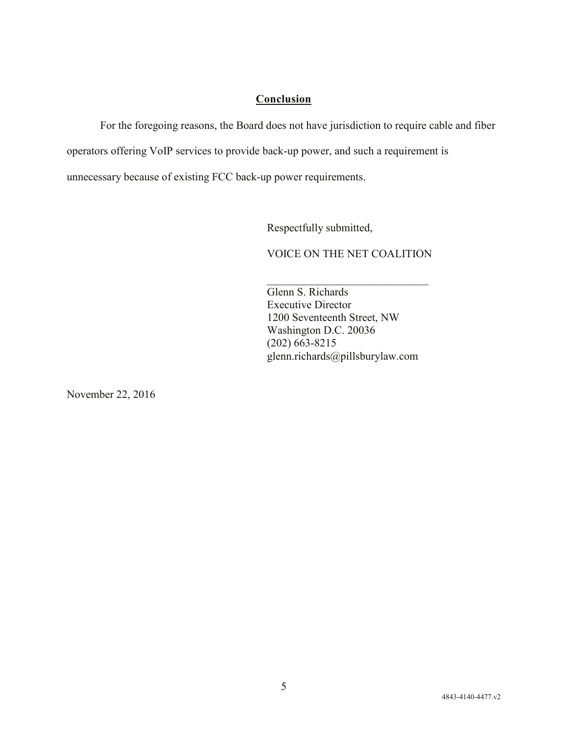# **Conclusion**

For the foregoing reasons, the Board does not have jurisdiction to require cable and fiber

operators offering VoIP services to provide back-up power, and such a requirement is

unnecessary because of existing FCC back-up power requirements.

Respectfully submitted,

VOICE ON THE NET COALITION

 $\overline{\phantom{a}}$  , and the set of the set of the set of the set of the set of the set of the set of the set of the set of the set of the set of the set of the set of the set of the set of the set of the set of the set of the s Glenn S. Richards Executive Director 1200 Seventeenth Street, NW Washington D.C. 20036 (202) 663-8215 glenn.richards@pillsburylaw.com

November 22, 2016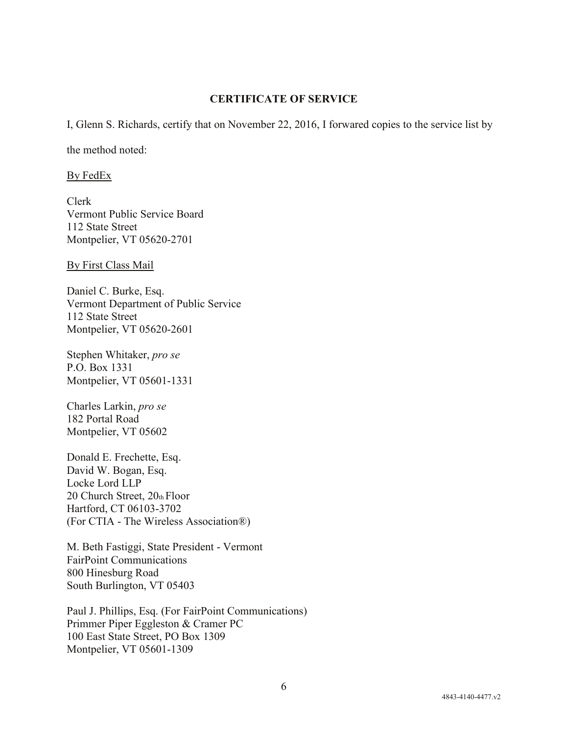#### **CERTIFICATE OF SERVICE**

I, Glenn S. Richards, certify that on November 22, 2016, I forwared copies to the service list by

the method noted:

By FedEx

Clerk Vermont Public Service Board 112 State Street Montpelier, VT 05620-2701

By First Class Mail

Daniel C. Burke, Esq. Vermont Department of Public Service 112 State Street Montpelier, VT 05620-2601

Stephen Whitaker, *pro se* P.O. Box 1331 Montpelier, VT 05601-1331

Charles Larkin, *pro se* 182 Portal Road Montpelier, VT 05602

Donald E. Frechette, Esq. David W. Bogan, Esq. Locke Lord LLP 20 Church Street, 20th Floor Hartford, CT 06103-3702 (For CTIA - The Wireless Association®)

M. Beth Fastiggi, State President - Vermont FairPoint Communications 800 Hinesburg Road South Burlington, VT 05403

Paul J. Phillips, Esq. (For FairPoint Communications) Primmer Piper Eggleston & Cramer PC 100 East State Street, PO Box 1309 Montpelier, VT 05601-1309